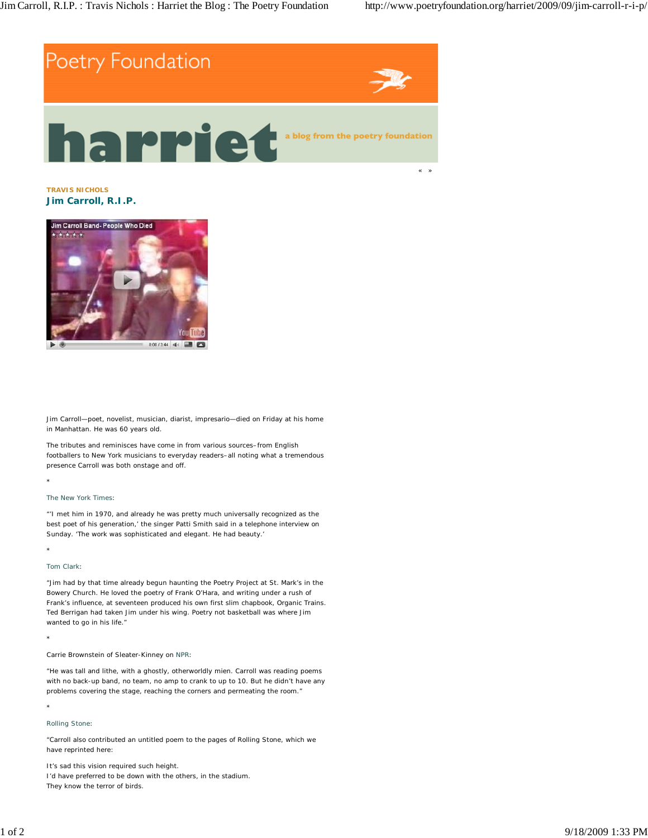

**TRAVIS NICHOLS Jim Carroll, R.I.P.**



Jim Carroll—poet, novelist, musician, diarist, impresario—died on Friday at his home in Manhattan. He was 60 years old.

The tributes and reminisces have come in from various sources–from English footballers to New York musicians to everyday readers–all noting what a tremendous presence Carroll was both onstage and off.

## *The New York Times*:

"'I met him in 1970, and already he was pretty much universally recognized as the best poet of his generation,' the singer Patti Smith said in a telephone interview on Sunday. 'The work was sophisticated and elegant. He had beauty.'

# \*

\*

Tom Clark:

"Jim had by that time already begun haunting the Poetry Project at St. Mark's in the Bowery Church. He loved the poetry of Frank O'Hara, and writing under a rush of Frank's influence, at seventeen produced his own first slim chapbook, *Organic Trains*. Ted Berrigan had taken Jim under his wing. Poetry not basketball was where Jim wanted to go in his life."

\*

### Carrie Brownstein of Sleater-Kinney on NPR:

"He was tall and lithe, with a ghostly, otherworldly mien. Carroll was reading poems with no back-up band, no team, no amp to crank to up to 10. But he didn't have any problems covering the stage, reaching the corners and permeating the room."

#### \*

### *Rolling Stone*:

"Carroll also contributed an untitled poem to the pages of *Rolling Stone*, which we have reprinted here:

It's sad this vision required such height. I'd have preferred to be down with the others, in the stadium. They know the terror of birds.